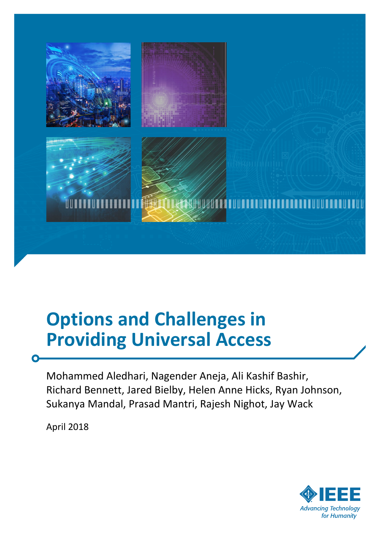

# **Options and Challenges in Providing Universal Access**

Mohammed Aledhari, Nagender Aneja, Ali Kashif Bashir, Richard Bennett, Jared Bielby, Helen Anne Hicks, Ryan Johnson, Sukanya Mandal, Prasad Mantri, Rajesh Nighot, Jay Wack

April 2018

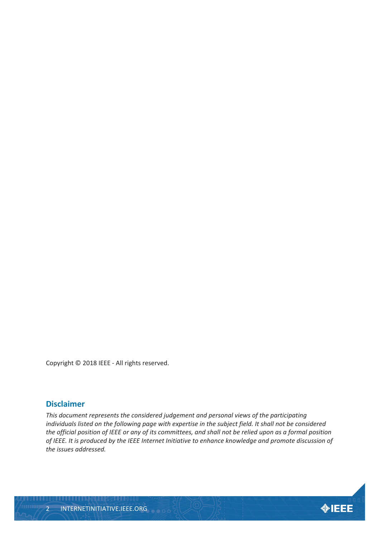Copyright © 2018 IEEE - All rights reserved.

#### **Disclaimer**

*This document represents the considered judgement and personal views of the participating individuals listed on the following page with expertise in the subject field. It shall not be considered the official position of IEEE or any of its committees, and shall not be relied upon as a formal position of IEEE. It is produced by the IEEE Internet Initiative to enhance knowledge and promote discussion of the issues addressed.*

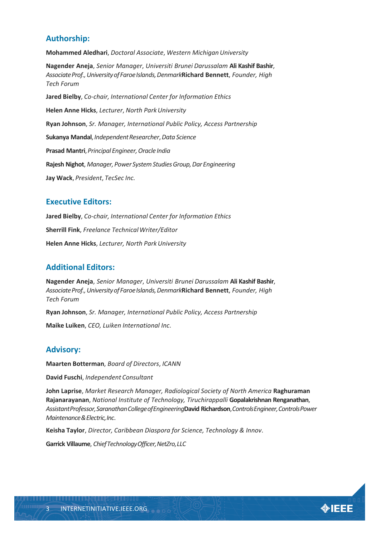#### **Authorship:**

**Mohammed Aledhari**, *Doctoral Associate*, *Western Michigan University*

**Nagender Aneja**, *Senior Manager*, *Universiti Brunei Darussalam* **Ali Kashif Bashir**, *AssociateProf.,UniversityofFaroeIslands,Denmark***Richard Bennett**, *Founder, High Tech Forum*

**Jared Bielby**, *Co-chair, International Center for Information Ethics* **Helen Anne Hicks**, *Lecturer*, *North Park University* **Ryan Johnson**, *Sr. Manager, International Public Policy, Access Partnership* **Sukanya Mandal**, *IndependentResearcher*, *Data Science* **Prasad Mantri**, *Principal Engineer*, *Oracle India* **Rajesh Nighot**, *Manager,Power SystemStudiesGroup,Dar Engineering* **Jay Wack**, *President*, *TecSec Inc.*

#### **Executive Editors:**

**Jared Bielby**, *Co-chair, International Center for Information Ethics* **Sherrill Fink**, *Freelance Technical Writer/Editor* **Helen Anne Hicks**, *Lecturer, North Park University*

#### **Additional Editors:**

**Nagender Aneja**, *Senior Manager*, *Universiti Brunei Darussalam* **Ali Kashif Bashir**, *AssociateProf.,UniversityofFaroeIslands,Denmark***Richard Bennett**, *Founder, High Tech Forum*

**Ryan Johnson**, *Sr. Manager, International Public Policy, Access Partnership*

**Maike Luiken**, *CEO, Luiken International Inc*.

#### **Advisory:**

**Maarten Botterman**, *Board of Directors*, *ICANN*

**David Fuschi**, *Independent Consultant*

**John Laprise**, *Market Research Manager, Radiological Society of North America* **Raghuraman Rajanarayanan**, *National Institute of Technology, Tiruchirappalli* **Gopalakrishnan Renganathan**, *AssistantProfessor,SaranathanCollegeofEngineering***David Richardson**, *ControlsEngineer,ControlsPower Maintenance & Electric,Inc*.

**Keisha Taylor**, *Director, Caribbean Diaspora for Science, Technology & Innov*.

**Garrick Villaume**, *Chief Technology Officer*, NetZro, LLC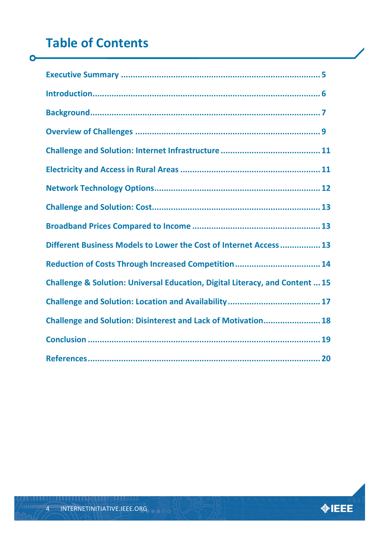# **Table of Contents**

 $\bullet$ 

| Different Business Models to Lower the Cost of Internet Access 13            |
|------------------------------------------------------------------------------|
|                                                                              |
| Challenge & Solution: Universal Education, Digital Literacy, and Content  15 |
|                                                                              |
| Challenge and Solution: Disinterest and Lack of Motivation 18                |
|                                                                              |
|                                                                              |

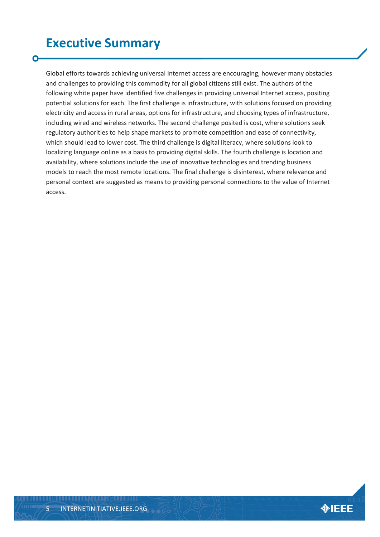## <span id="page-4-0"></span>**Executive Summary**

Global efforts towards achieving universal Internet access are encouraging, however many obstacles and challenges to providing this commodity for all global citizens still exist. The authors of the following white paper have identified five challenges in providing universal Internet access, positing potential solutions for each. The first challenge is infrastructure, with solutions focused on providing electricity and access in rural areas, options for infrastructure, and choosing types of infrastructure, including wired and wireless networks. The second challenge posited is cost, where solutions seek regulatory authorities to help shape markets to promote competition and ease of connectivity, which should lead to lower cost. The third challenge is digital literacy, where solutions look to localizing language online as a basis to providing digital skills. The fourth challenge is location and availability, where solutions include the use of innovative technologies and trending business models to reach the most remote locations. The final challenge is disinterest, where relevance and personal context are suggested as means to providing personal connections to the value of Internet access.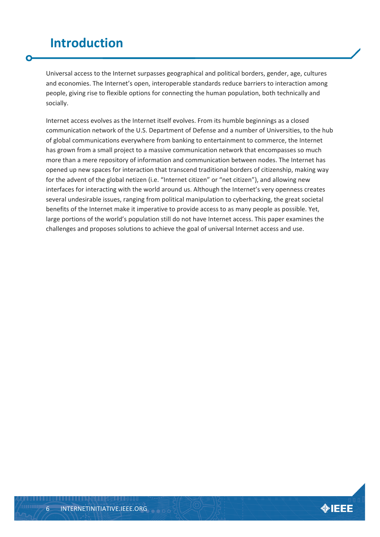### <span id="page-5-0"></span>**Introduction**

Universal access to the Internet surpasses geographical and political borders, gender, age, cultures and economies. The Internet's open, interoperable standards reduce barriers to interaction among people, giving rise to flexible options for connecting the human population, both technically and socially.

Internet access evolves as the Internet itself evolves. From its humble beginnings as a closed communication network of the U.S. Department of Defense and a number of Universities, to the hub of global communications everywhere from banking to entertainment to commerce, the Internet has grown from a small project to a massive communication network that encompasses so much more than a mere repository of information and communication between nodes. The Internet has opened up new spaces for interaction that transcend traditional borders of citizenship, making way for the advent of the global netizen (i.e. "Internet citizen" or "net citizen"), and allowing new interfaces for interacting with the world around us. Although the Internet's very openness creates several undesirable issues, ranging from political manipulation to cyberhacking, the great societal benefits of the Internet make it imperative to provide access to as many people as possible. Yet, large portions of the world's population still do not have Internet access. This paper examines the challenges and proposes solutions to achieve the goal of universal Internet access and use.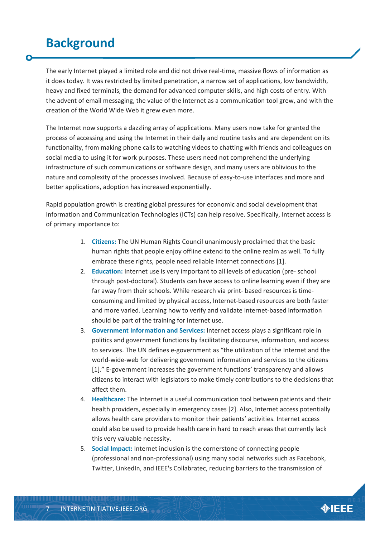### <span id="page-6-0"></span>**Background**

The early Internet played a limited role and did not drive real-time, massive flows of information as it does today. It was restricted by limited penetration, a narrow set of applications, low bandwidth, heavy and fixed terminals, the demand for advanced computer skills, and high costs of entry. With the advent of email messaging, the value of the Internet as a communication tool grew, and with the creation of the World Wide Web it grew even more.

The Internet now supports a dazzling array of applications. Many users now take for granted the process of accessing and using the Internet in their daily and routine tasks and are dependent on its functionality, from making phone calls to watching videos to chatting with friends and colleagues on social media to using it for work purposes. These users need not comprehend the underlying infrastructure of such communications or software design, and many users are oblivious to the nature and complexity of the processes involved. Because of easy-to-use interfaces and more and better applications, adoption has increased exponentially.

Rapid population growth is creating global pressures for economic and social development that Information and Communication Technologies (ICTs) can help resolve. Specifically, Internet access is of primary importance to:

- 1. **Citizens:** The UN Human Rights Council unanimously proclaimed that the basic human rights that people enjoy offline extend to the online realm as well. To fully embrace these rights, people need reliable Internet connections [1].
- 2. **Education:** Internet use is very important to all levels of education (pre- school through post-doctoral). Students can have access to online learning even if they are far away from their schools. While research via print- based resources is timeconsuming and limited by physical access, Internet-based resources are both faster and more varied. Learning how to verify and validate Internet-based information should be part of the training for Internet use.
- 3. **Government Information and Services:** Internet access plays a significant role in politics and government functions by facilitating discourse, information, and access to services. The UN defines e-government as "the utilization of the Internet and the world-wide-web for delivering government information and services to the citizens [1]." E-government increases the government functions' transparency and allows citizens to interact with legislators to make timely contributions to the decisions that affect them.
- 4. **Healthcare:** The Internet is a useful communication tool between patients and their health providers, especially in emergency cases [2]. Also, Internet access potentially allows health care providers to monitor their patients' activities. Internet access could also be used to provide health care in hard to reach areas that currently lack this very valuable necessity.
- 5. **Social Impact:** Internet inclusion is the cornerstone of connecting people (professional and non-professional) using many social networks such as Facebook, Twitter, LinkedIn, and IEEE's Collabratec, reducing barriers to the transmission of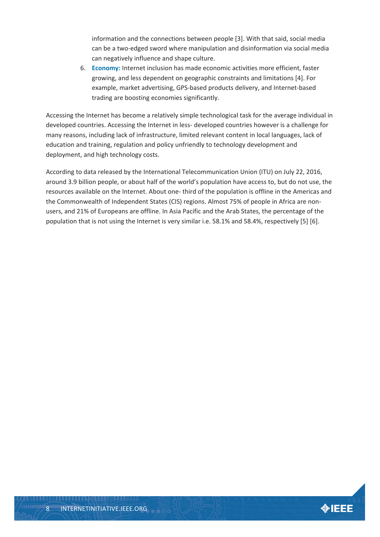information and the connections between people [3]. With that said, social media can be a two-edged sword where manipulation and disinformation via social media can negatively influence and shape culture.

6. **Economy:** Internet inclusion has made economic activities more efficient, faster growing, and less dependent on geographic constraints and limitations [4]. For example, market advertising, GPS-based products delivery, and Internet-based trading are boosting economies significantly.

Accessing the Internet has become a relatively simple technological task for the average individual in developed countries. Accessing the Internet in less- developed countries however is a challenge for many reasons, including lack of infrastructure, limited relevant content in local languages, lack of education and training, regulation and policy unfriendly to technology development and deployment, and high technology costs.

According to data released by the International Telecommunication Union (ITU) on July 22, 2016, around 3.9 billion people, or about half of the world's population have access to, but do not use, the resources available on the Internet. About one- third of the population is offline in the Americas and the Commonwealth of Independent States (CIS) regions. Almost 75% of people in Africa are nonusers, and 21% of Europeans are offline. In Asia Pacific and the Arab States, the percentage of the population that is not using the Internet is very similar i.e. 58.1% and 58.4%, respectively [5] [6].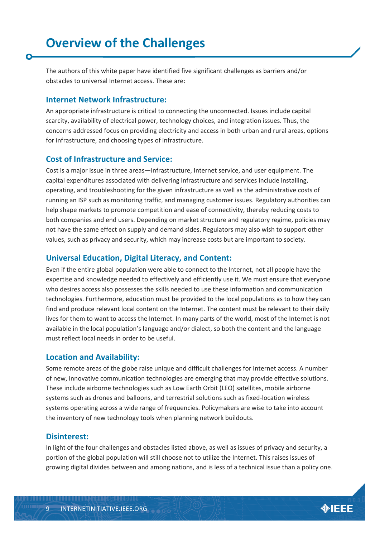<span id="page-8-0"></span>The authors of this white paper have identified five significant challenges as barriers and/or obstacles to universal Internet access. These are:

#### **Internet Network Infrastructure:**

An appropriate infrastructure is critical to connecting the unconnected. Issues include capital scarcity, availability of electrical power, technology choices, and integration issues. Thus, the concerns addressed focus on providing electricity and access in both urban and rural areas, options for infrastructure, and choosing types of infrastructure.

#### **Cost of Infrastructure and Service:**

Cost is a major issue in three areas—infrastructure, Internet service, and user equipment. The capital expenditures associated with delivering infrastructure and services include installing, operating, and troubleshooting for the given infrastructure as well as the administrative costs of running an ISP such as monitoring traffic, and managing customer issues. Regulatory authorities can help shape markets to promote competition and ease of connectivity, thereby reducing costs to both companies and end users. Depending on market structure and regulatory regime, policies may not have the same effect on supply and demand sides. Regulators may also wish to support other values, such as privacy and security, which may increase costs but are important to society.

#### **Universal Education, Digital Literacy, and Content:**

Even if the entire global population were able to connect to the Internet, not all people have the expertise and knowledge needed to effectively and efficiently use it. We must ensure that everyone who desires access also possesses the skills needed to use these information and communication technologies. Furthermore, education must be provided to the local populations as to how they can find and produce relevant local content on the Internet. The content must be relevant to their daily lives for them to want to access the Internet. In many parts of the world, most of the Internet is not available in the local population's language and/or dialect, so both the content and the language must reflect local needs in order to be useful.

#### **Location and Availability:**

Some remote areas of the globe raise unique and difficult challenges for Internet access. A number of new, innovative communication technologies are emerging that may provide effective solutions. These include airborne technologies such as Low Earth Orbit (LEO) satellites, mobile airborne systems such as drones and balloons, and terrestrial solutions such as fixed-location wireless systems operating across a wide range of frequencies. Policymakers are wise to take into account the inventory of new technology tools when planning network buildouts.

#### **Disinterest:**

In light of the four challenges and obstacles listed above, as well as issues of privacy and security, a portion of the global population will still choose not to utilize the Internet. This raises issues of growing digital divides between and among nations, and is less of a technical issue than a policy one.

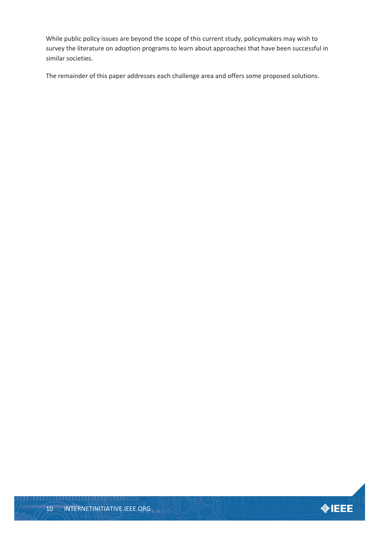While public policy issues are beyond the scope of this current study, policymakers may wish to survey the literature on adoption programs to learn about approaches that have been successful in similar societies.

The remainder of this paper addresses each challenge area and offers some proposed solutions.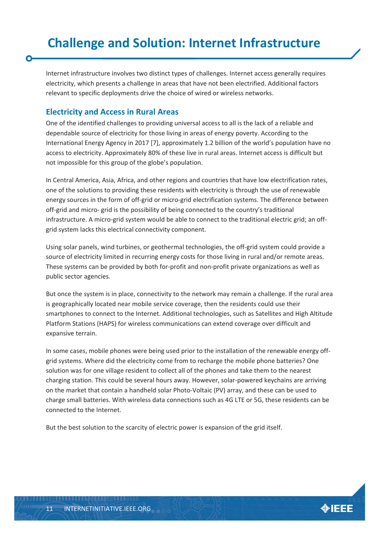<span id="page-10-0"></span>Internet infrastructure involves two distinct types of challenges. Internet access generally requires electricity, which presents a challenge in areas that have not been electrified. Additional factors relevant to specific deployments drive the choice of wired or wireless networks.

#### <span id="page-10-1"></span>**Electricity and Access in Rural Areas**

One of the identified challenges to providing universal access to all is the lack of a reliable and dependable source of electricity for those living in areas of energy poverty. According to the International Energy Agency in 2017 [7], approximately 1.2 billion of the world's population have no access to electricity. Approximately 80% of these live in rural areas. Internet access is difficult but not impossible for this group of the globe's population.

In Central America, Asia, Africa, and other regions and countries that have low electrification rates, one of the solutions to providing these residents with electricity is through the use of renewable energy sources in the form of off-grid or micro-grid electrification systems. The difference between off-grid and micro- grid is the possibility of being connected to the country's traditional infrastructure. A micro-grid system would be able to connect to the traditional electric grid; an offgrid system lacks this electrical connectivity component.

Using solar panels, wind turbines, or geothermal technologies, the off-grid system could provide a source of electricity limited in recurring energy costs for those living in rural and/or remote areas. These systems can be provided by both for-profit and non-profit private organizations as well as public sector agencies.

But once the system is in place, connectivity to the network may remain a challenge. If the rural area is geographically located near mobile service coverage, then the residents could use their smartphones to connect to the Internet. Additional technologies, such as Satellites and High Altitude Platform Stations (HAPS) for wireless communications can extend coverage over difficult and expansive terrain.

In some cases, mobile phones were being used prior to the installation of the renewable energy offgrid systems. Where did the electricity come from to recharge the mobile phone batteries? One solution was for one village resident to collect all of the phones and take them to the nearest charging station. This could be several hours away. However, solar-powered keychains are arriving on the market that contain a handheld solar Photo-Voltaic (PV) array, and these can be used to charge small batteries. With wireless data connections such as 4G LTE or 5G, these residents can be connected to the Internet.

But the best solution to the scarcity of electric power is expansion of the grid itself.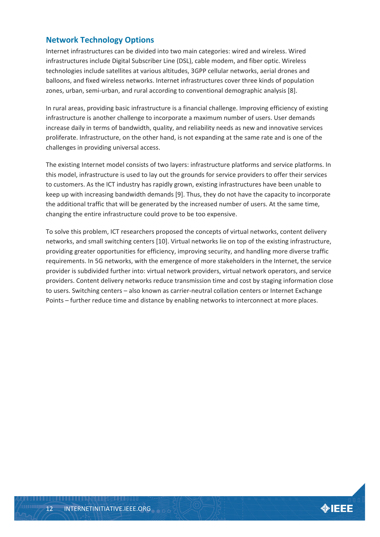#### <span id="page-11-0"></span>**Network Technology Options**

Internet infrastructures can be divided into two main categories: wired and wireless. Wired infrastructures include Digital Subscriber Line (DSL), cable modem, and fiber optic. Wireless technologies include satellites at various altitudes, 3GPP cellular networks, aerial drones and balloons, and fixed wireless networks. Internet infrastructures cover three kinds of population zones, urban, semi-urban, and rural according to conventional demographic analysis [8].

In rural areas, providing basic infrastructure is a financial challenge. Improving efficiency of existing infrastructure is another challenge to incorporate a maximum number of users. User demands increase daily in terms of bandwidth, quality, and reliability needs as new and innovative services proliferate. Infrastructure, on the other hand, is not expanding at the same rate and is one of the challenges in providing universal access.

The existing Internet model consists of two layers: infrastructure platforms and service platforms. In this model, infrastructure is used to lay out the grounds for service providers to offer their services to customers. As the ICT industry has rapidly grown, existing infrastructures have been unable to keep up with increasing bandwidth demands [9]. Thus, they do not have the capacity to incorporate the additional traffic that will be generated by the increased number of users. At the same time, changing the entire infrastructure could prove to be too expensive.

To solve this problem, ICT researchers proposed the concepts of virtual networks, content delivery networks, and small switching centers [10]. Virtual networks lie on top of the existing infrastructure, providing greater opportunities for efficiency, improving security, and handling more diverse traffic requirements. In 5G networks, with the emergence of more stakeholders in the Internet, the service provider is subdivided further into: virtual network providers, virtual network operators, and service providers. Content delivery networks reduce transmission time and cost by staging information close to users. Switching centers – also known as carrier-neutral collation centers or Internet Exchange Points – further reduce time and distance by enabling networks to interconnect at more places.

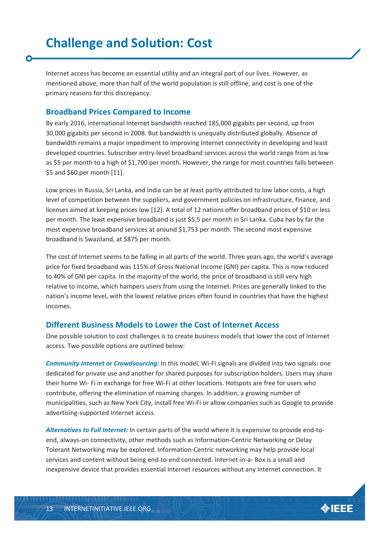<span id="page-12-0"></span>Internet access has become an essential utility and an integral part of our lives. However, as mentioned above, more than half of the world population is still offline, and cost is one of the primary reasons for this discrepancy.

#### <span id="page-12-1"></span>**Broadband Prices Compared to Income**

By early 2016, international Internet bandwidth reached 185,000 gigabits per second, up from 30,000 gigabits per second in 2008. But bandwidth is unequally distributed globally. Absence of bandwidth remains a major impediment to improving Internet connectivity in developing and least developed countries. Subscriber entry-level broadband services across the world range from as low as \$5 per month to a high of \$1,700 per month. However, the range for most countries falls between \$5 and \$60 per month [11].

Low prices in Russia, Sri Lanka, and India can be at least partly attributed to low labor costs, a high level of competition between the suppliers, and government policies on infrastructure, finance, and licenses aimed at keeping prices low [12]. A total of 12 nations offer broadband prices of \$10 or less per month. The least expensive broadband is just \$5.5 per month in Sri Lanka. Cuba has by far the most expensive broadband services at around \$1,753 per month. The second most expensive broadband is Swaziland, at \$875 per month.

The cost of Internet seems to be falling in all parts of the world. Three years ago, the world's average price for fixed broadband was 115% of Gross National Income (GNI) per capita. This is now reduced to 40% of GNI per capita. In the majority of the world, the price of broadband is still very high relative to income, which hampers users from using the Internet. Prices are generally linked to the nation's income level, with the lowest relative prices often found in countries that have the highest incomes.

#### <span id="page-12-2"></span>**Different Business Models to Lower the Cost of Internet Access**

One possible solution to cost challenges is to create business models that lower the cost of Internet access. Two possible options are outlined below:

*Community Internet or Crowdsourcing:* In this model, Wi-Fi signals are divided into two signals: one dedicated for private use and another for shared purposes for subscription holders. Users may share their home Wi- Fi in exchange for free Wi-Fi at other locations. Hotspots are free for users who contribute, offering the elimination of roaming charges. In addition, a growing number of municipalities, such as New York City, install free Wi-Fi or allow companies such as Google to provide advertising-supported Internet access.

*Alternatives to Full Internet:* In certain parts of the world where it is expensive to provide end-toend, always-on connectivity, other methods such as Information-Centric Networking or Delay Tolerant Networking may be explored. Information-Centric networking may help provide local services and content without being end-to-end connected. Internet-in-a- Box is a small and inexpensive device that provides essential Internet resources without any Internet connection. It

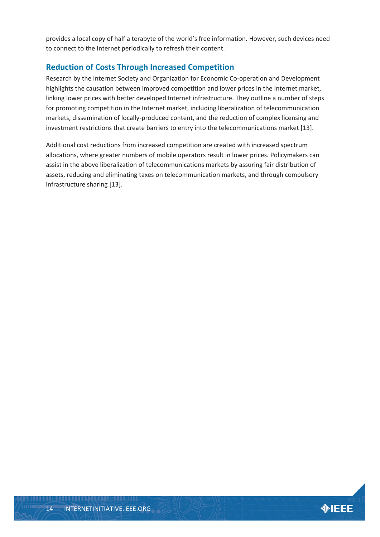provides a local copy of half a terabyte of the world's free information. However, such devices need to connect to the Internet periodically to refresh their content.

#### <span id="page-13-0"></span>**Reduction of Costs Through Increased Competition**

Research by the Internet Society and Organization for Economic Co-operation and Development highlights the causation between improved competition and lower prices in the Internet market, linking lower prices with better developed Internet infrastructure. They outline a number of steps for promoting competition in the Internet market, including liberalization of telecommunication markets, dissemination of locally-produced content, and the reduction of complex licensing and investment restrictions that create barriers to entry into the telecommunications market [13].

Additional cost reductions from increased competition are created with increased spectrum allocations, where greater numbers of mobile operators result in lower prices. Policymakers can assist in the above liberalization of telecommunications markets by assuring fair distribution of assets, reducing and eliminating taxes on telecommunication markets, and through compulsory infrastructure sharing [13].

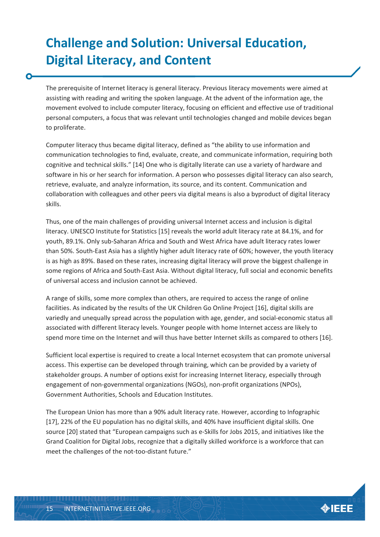# <span id="page-14-0"></span>**Challenge and Solution: Universal Education, Digital Literacy, and Content**

The prerequisite of Internet literacy is general literacy. Previous literacy movements were aimed at assisting with reading and writing the spoken language. At the advent of the information age, the movement evolved to include computer literacy, focusing on efficient and effective use of traditional personal computers, a focus that was relevant until technologies changed and mobile devices began to proliferate.

Computer literacy thus became digital literacy, defined as "the ability to use information and communication technologies to find, evaluate, create, and communicate information, requiring both cognitive and technical skills." [14] One who is digitally literate can use a variety of hardware and software in his or her search for information. A person who possesses digital literacy can also search, retrieve, evaluate, and analyze information, its source, and its content. Communication and collaboration with colleagues and other peers via digital means is also a byproduct of digital literacy skills.

Thus, one of the main challenges of providing universal Internet access and inclusion is digital literacy. UNESCO Institute for Statistics [15] reveals the world adult literacy rate at 84.1%, and for youth, 89.1%. Only sub-Saharan Africa and South and West Africa have adult literacy rates lower than 50%. South-East Asia has a slightly higher adult literacy rate of 60%; however, the youth literacy is as high as 89%. Based on these rates, increasing digital literacy will prove the biggest challenge in some regions of Africa and South-East Asia. Without digital literacy, full social and economic benefits of universal access and inclusion cannot be achieved.

A range of skills, some more complex than others, are required to access the range of online facilities. As indicated by the results of the UK Children Go Online Project [16], digital skills are variedly and unequally spread across the population with age, gender, and social-economic status all associated with different literacy levels. Younger people with home Internet access are likely to spend more time on the Internet and will thus have better Internet skills as compared to others [16].

Sufficient local expertise is required to create a local Internet ecosystem that can promote universal access. This expertise can be developed through training, which can be provided by a variety of stakeholder groups. A number of options exist for increasing Internet literacy, especially through engagement of non-governmental organizations (NGOs), non-profit organizations (NPOs), Government Authorities, Schools and Education Institutes.

The European Union has more than a 90% adult literacy rate. However, according to Infographic [17], 22% of the EU population has no digital skills, and 40% have insufficient digital skills. One source [20] stated that "European campaigns such as e-Skills for Jobs 2015, and initiatives like the Grand Coalition for Digital Jobs, recognize that a digitally skilled workforce is a workforce that can meet the challenges of the not-too-distant future."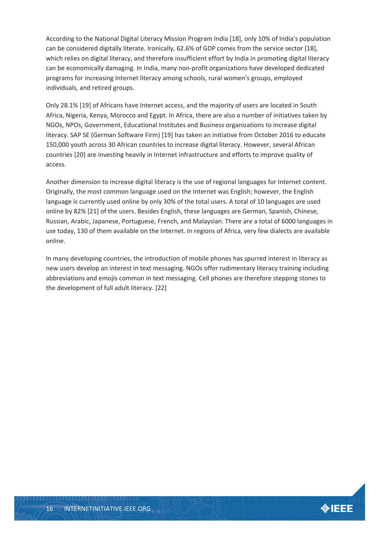According to the National Digital Literacy Mission Program India [18], only 10% of India's population can be considered digitally literate. Ironically, 62.6% of GDP comes from the service sector [18], which relies on digital literacy, and therefore insufficient effort by India in promoting digital literacy can be economically damaging. In India, many non-profit organizations have developed dedicated programs for increasing Internet literacy among schools, rural women's groups, employed individuals, and retired groups.

Only 28.1% [19] of Africans have Internet access, and the majority of users are located in South Africa, Nigeria, Kenya, Morocco and Egypt. In Africa, there are also a number of initiatives taken by NGOs, NPOs, Government, Educational Institutes and Business organizations to increase digital literacy. SAP SE (German Software Firm) [19] has taken an initiative from October 2016 to educate 150,000 youth across 30 African countries to increase digital literacy. However, several African countries [20] are investing heavily in Internet infrastructure and efforts to improve quality of access.

Another dimension to increase digital literacy is the use of regional languages for Internet content. Originally, the most common language used on the Internet was English; however, the English language is currently used online by only 30% of the total users. A total of 10 languages are used online by 82% [21] of the users. Besides English, these languages are German, Spanish, Chinese, Russian, Arabic, Japanese, Portuguese, French, and Malaysian. There are a total of 6000 languages in use today, 130 of them available on the Internet. In regions of Africa, very few dialects are available online.

In many developing countries, the introduction of mobile phones has spurred interest in literacy as new users develop an interest in text messaging. NGOs offer rudimentary literacy training including abbreviations and emojis common in text messaging. Cell phones are therefore stepping stones to the development of full adult literacy. [22]

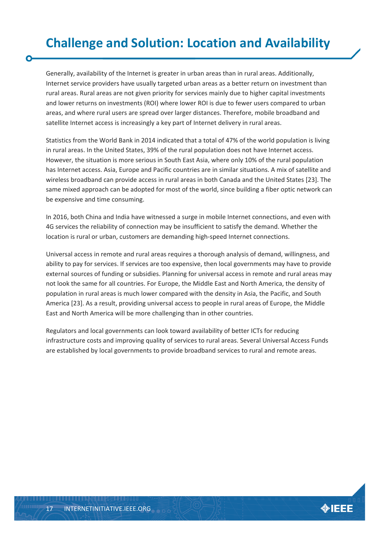# <span id="page-16-0"></span>**Challenge and Solution: Location and Availability**

Generally, availability of the Internet is greater in urban areas than in rural areas. Additionally, Internet service providers have usually targeted urban areas as a better return on investment than rural areas. Rural areas are not given priority for services mainly due to higher capital investments and lower returns on investments (ROI) where lower ROI is due to fewer users compared to urban areas, and where rural users are spread over larger distances. Therefore, mobile broadband and satellite Internet access is increasingly a key part of Internet delivery in rural areas.

Statistics from the World Bank in 2014 indicated that a total of 47% of the world population is living in rural areas. In the United States, 39% of the rural population does not have Internet access. However, the situation is more serious in South East Asia, where only 10% of the rural population has Internet access. Asia, Europe and Pacific countries are in similar situations. A mix of satellite and wireless broadband can provide access in rural areas in both Canada and the United States [23]. The same mixed approach can be adopted for most of the world, since building a fiber optic network can be expensive and time consuming.

In 2016, both China and India have witnessed a surge in mobile Internet connections, and even with 4G services the reliability of connection may be insufficient to satisfy the demand. Whether the location is rural or urban, customers are demanding high-speed Internet connections.

Universal access in remote and rural areas requires a thorough analysis of demand, willingness, and ability to pay for services. If services are too expensive, then local governments may have to provide external sources of funding or subsidies. Planning for universal access in remote and rural areas may not look the same for all countries. For Europe, the Middle East and North America, the density of population in rural areas is much lower compared with the density in Asia, the Pacific, and South America [23]. As a result, providing universal access to people in rural areas of Europe, the Middle East and North America will be more challenging than in other countries.

Regulators and local governments can look toward availability of better ICTs for reducing infrastructure costs and improving quality of services to rural areas. Several Universal Access Funds are established by local governments to provide broadband services to rural and remote areas.

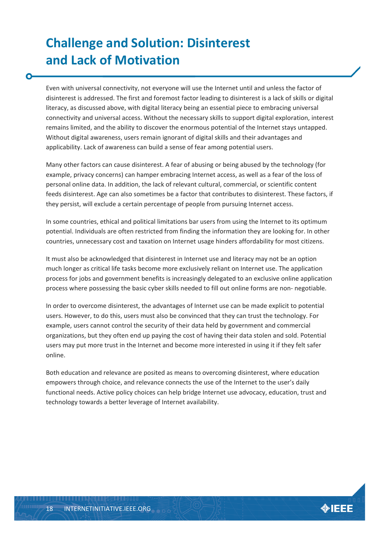# <span id="page-17-0"></span>**Challenge and Solution: Disinterest and Lack of Motivation**

Even with universal connectivity, not everyone will use the Internet until and unless the factor of disinterest is addressed. The first and foremost factor leading to disinterest is a lack of skills or digital literacy, as discussed above, with digital literacy being an essential piece to embracing universal connectivity and universal access. Without the necessary skills to support digital exploration, interest remains limited, and the ability to discover the enormous potential of the Internet stays untapped. Without digital awareness, users remain ignorant of digital skills and their advantages and applicability. Lack of awareness can build a sense of fear among potential users.

Many other factors can cause disinterest. A fear of abusing or being abused by the technology (for example, privacy concerns) can hamper embracing Internet access, as well as a fear of the loss of personal online data. In addition, the lack of relevant cultural, commercial, or scientific content feeds disinterest. Age can also sometimes be a factor that contributes to disinterest. These factors, if they persist, will exclude a certain percentage of people from pursuing Internet access.

In some countries, ethical and political limitations bar users from using the Internet to its optimum potential. Individuals are often restricted from finding the information they are looking for. In other countries, unnecessary cost and taxation on Internet usage hinders affordability for most citizens.

It must also be acknowledged that disinterest in Internet use and literacy may not be an option much longer as critical life tasks become more exclusively reliant on Internet use. The application process for jobs and government benefits is increasingly delegated to an exclusive online application process where possessing the basic cyber skills needed to fill out online forms are non- negotiable.

In order to overcome disinterest, the advantages of Internet use can be made explicit to potential users. However, to do this, users must also be convinced that they can trust the technology. For example, users cannot control the security of their data held by government and commercial organizations, but they often end up paying the cost of having their data stolen and sold. Potential users may put more trust in the Internet and become more interested in using it if they felt safer online.

Both education and relevance are posited as means to overcoming disinterest, where education empowers through choice, and relevance connects the use of the Internet to the user's daily functional needs. Active policy choices can help bridge Internet use advocacy, education, trust and technology towards a better leverage of Internet availability.

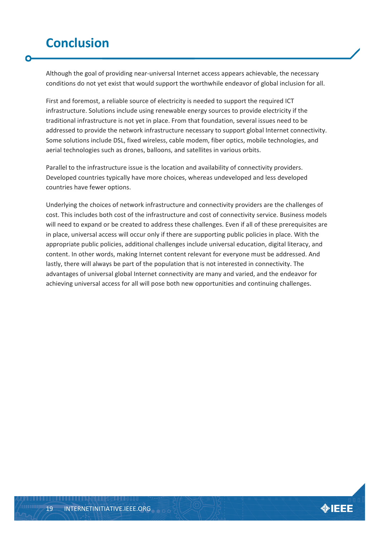## <span id="page-18-0"></span>**Conclusion**

Although the goal of providing near-universal Internet access appears achievable, the necessary conditions do not yet exist that would support the worthwhile endeavor of global inclusion for all.

First and foremost, a reliable source of electricity is needed to support the required ICT infrastructure. Solutions include using renewable energy sources to provide electricity if the traditional infrastructure is not yet in place. From that foundation, several issues need to be addressed to provide the network infrastructure necessary to support global Internet connectivity. Some solutions include DSL, fixed wireless, cable modem, fiber optics, mobile technologies, and aerial technologies such as drones, balloons, and satellites in various orbits.

Parallel to the infrastructure issue is the location and availability of connectivity providers. Developed countries typically have more choices, whereas undeveloped and less developed countries have fewer options.

Underlying the choices of network infrastructure and connectivity providers are the challenges of cost. This includes both cost of the infrastructure and cost of connectivity service. Business models will need to expand or be created to address these challenges. Even if all of these prerequisites are in place, universal access will occur only if there are supporting public policies in place. With the appropriate public policies, additional challenges include universal education, digital literacy, and content. In other words, making Internet content relevant for everyone must be addressed. And lastly, there will always be part of the population that is not interested in connectivity. The advantages of universal global Internet connectivity are many and varied, and the endeavor for achieving universal access for all will pose both new opportunities and continuing challenges.

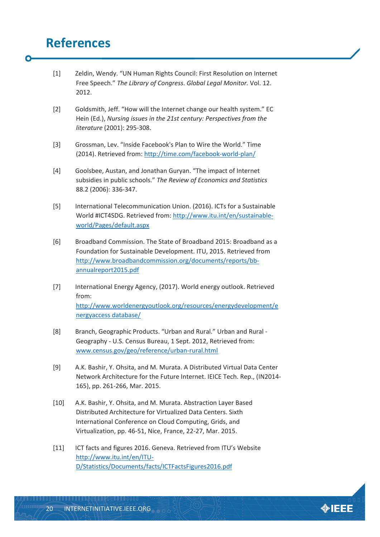### <span id="page-19-0"></span>**References**

- [1] Zeldin, Wendy. "UN Human Rights Council: First Resolution on Internet Free Speech." *The Library of Congress*. *Global Legal Monitor.* Vol. 12. 2012.
- [2] Goldsmith, Jeff. "How will the Internet change our health system." EC Hein (Ed.), *Nursing issues in the 21st century: Perspectives from the literature* (2001): 295-308.
- [3] Grossman, Lev. "Inside Facebook's Plan to Wire the World." Time (2014). Retrieved from:<http://time.com/facebook-world-plan/>
- [4] Goolsbee, Austan, and Jonathan Guryan. "The impact of Internet subsidies in public schools." *The Review of Economics and Statistics* 88.2 (2006): 336-347.
- [5] International Telecommunication Union. (2016). ICTs for a Sustainable World #ICT4SDG. Retrieved from: [http://www.itu.int/en/sustainable](http://www.itu.int/en/sustainable-%20world/Pages/default.aspx)[world/Pages/default.aspx](http://www.itu.int/en/sustainable-%20world/Pages/default.aspx)
- [6] Broadband Commission. The State of Broadband 2015: Broadband as a Foundation for Sustainable Development. ITU, 2015. Retrieved from [http://www.broadbandcommission.org/documents/reports/bb](http://www.broadbandcommission.org/documents/reports/bb-%20annualreport2015.pdf)[annualreport2015.pdf](http://www.broadbandcommission.org/documents/reports/bb-%20annualreport2015.pdf)
- [7] International Energy Agency, (2017). World energy outlook. Retrieved from: [http://www.worldenergyoutlook.org/resources/energydevelopment/e](http://www.worldenergyoutlook.org/resources/energydevelopment/energyaccess%20database/) [nergyaccess database/](http://www.worldenergyoutlook.org/resources/energydevelopment/energyaccess%20database/)
- [8] Branch, Geographic Products. "Urban and Rural." Urban and Rural Geography - U.S. Census Bureau, 1 Sept. 2012, Retrieved from: [www.census.gov/geo/reference/urban-rural.html](http://www.census.gov/geo/reference/urban-rural.html)
- [9] A.K. Bashir, Y. Ohsita, and M. Murata. A Distributed Virtual Data Center Network Architecture for the Future Internet. IEICE Tech. Rep., (IN2014- 165), pp. 261-266, Mar. 2015.
- [10] A.K. Bashir, Y. Ohsita, and M. Murata. Abstraction Layer Based Distributed Architecture for Virtualized Data Centers. Sixth International Conference on Cloud Computing, Grids, and Virtualization, pp. 46-51, Nice, France, 22-27, Mar. 2015.
- [11] ICT facts and figures 2016. Geneva. Retrieved from ITU's Website [http://www.itu.int/en/ITU-](http://www.itu.int/en/ITU-%20D/Statistics/Documents/facts/ICTFactsFigures2016.pdf)[D/Statistics/Documents/facts/ICTFactsFigures2016.pdf](http://www.itu.int/en/ITU-%20D/Statistics/Documents/facts/ICTFactsFigures2016.pdf)